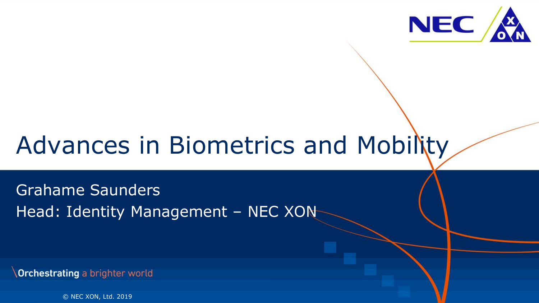

## Advances in Biometrics and Mobility

Grahame Saunders Head: Identity Management – NEC XON

Orchestrating a brighter world

1 © NEC XON, Ltd. 2019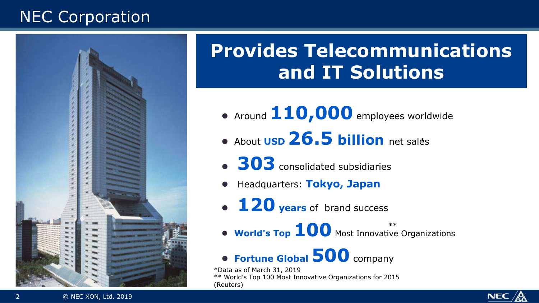## NEC Corporation



## **Provides Telecommunications and IT Solutions**

- Around  $110,000$  employees worldwide
- About **USD 26.5 billion** net sales
- **303** consolidated subsidiaries
- l Headquarters: **Tokyo, Japan**
- **120 years** of brand success
- **World's Top 100** Most Innovative Organizations

### **• Fortune Global 500** company

\*Data as of March 31, 2019 \*\* World's Top 100 Most Innovative Organizations for 2015 (Reuters)

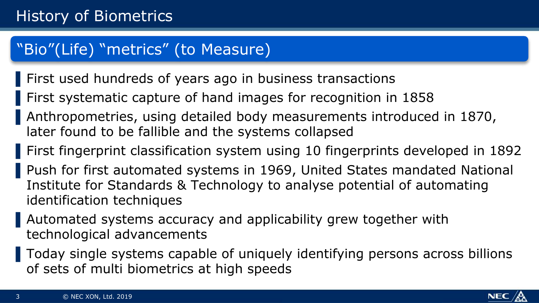### "Bio"(Life) "metrics" (to Measure)

- First used hundreds of years ago in business transactions
- ▌First systematic capture of hand images for recognition in 1858
- ▌Anthropometries, using detailed body measurements introduced in 1870, later found to be fallible and the systems collapsed
- ▌First fingerprint classification system using 10 fingerprints developed in 1892
- Push for first automated systems in 1969, United States mandated National Institute for Standards & Technology to analyse potential of automating identification techniques
- ▌Automated systems accuracy and applicability grew together with technological advancements
- ▌Today single systems capable of uniquely identifying persons across billions of sets of multi biometrics at high speeds

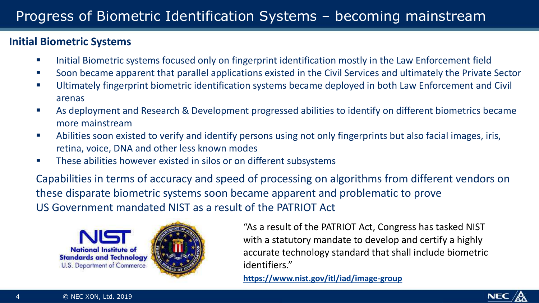#### **Initial Biometric Systems**

- **•** Initial Biometric systems focused only on fingerprint identification mostly in the Law Enforcement field
- Soon became apparent that parallel applications existed in the Civil Services and ultimately the Private Sector
- Ultimately fingerprint biometric identification systems became deployed in both Law Enforcement and Civil arenas
- As deployment and Research & Development progressed abilities to identify on different biometrics became more mainstream
- Abilities soon existed to verify and identify persons using not only fingerprints but also facial images, iris, retina, voice, DNA and other less known modes
- These abilities however existed in silos or on different subsystems

Capabilities in terms of accuracy and speed of processing on algorithms from different vendors on these disparate biometric systems soon became apparent and problematic to prove US Government mandated NIST as a result of the PATRIOT Act





"As a result of the PATRIOT Act, Congress has tasked NIST with a statutory mandate to develop and certify a highly accurate technology standard that shall include biometric identifiers."

**https://www.nist.gov/itl/iad/image-group**

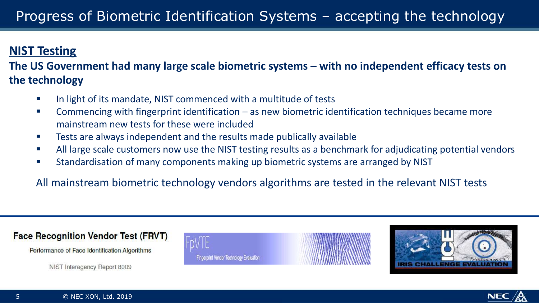#### **NIST Testing**

#### The US Government had many large scale biometric systems – with no independent efficacy tests on **the technology**

- In light of its mandate, NIST commenced with a multitude of tests
- **EXECOMM** Commencing with fingerprint identification as new biometric identification techniques became more mainstream new tests for these were included
- **EXECTE:** Tests are always independent and the results made publically available
- All large scale customers now use the NIST testing results as a benchmark for adjudicating potential vendors
- Standardisation of many components making up biometric systems are arranged by NIST

All mainstream biometric technology vendors algorithms are tested in the relevant NIST tests

#### **Face Recognition Vendor Test (FRVT)**

Performance of Face Identification Algorithms

NIST Interagency Report 8009





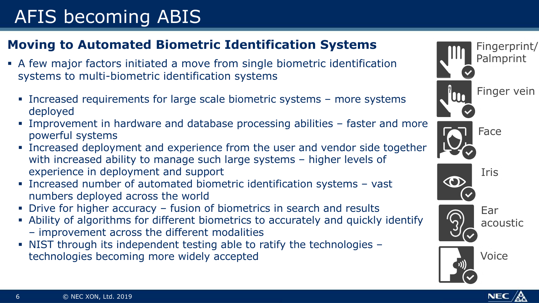## AFIS becoming ABIS

#### **Moving to Automated Biometric Identification Systems**

- § A few major factors initiated a move from single biometric identification systems to multi-biometric identification systems
	- § Increased requirements for large scale biometric systems more systems deployed
	- § Improvement in hardware and database processing abilities faster and more powerful systems
	- § Increased deployment and experience from the user and vendor side together with increased ability to manage such large systems – higher levels of experience in deployment and support
	- § Increased number of automated biometric identification systems vast numbers deployed across the world
	- Drive for higher accuracy fusion of biometrics in search and results
	- § Ability of algorithms for different biometrics to accurately and quickly identify
		- improvement across the different modalities
	- § NIST through its independent testing able to ratify the technologies technologies becoming more widely accepted

Fingerprint/ Palmprint Finger vein Face



O





Ear acoustic



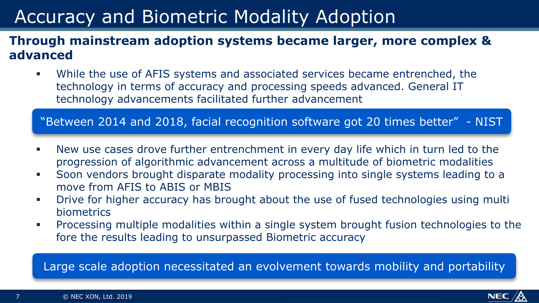## Accuracy and Biometric Modality Adoption

#### **Through mainstream adoption systems became larger, more complex & advanced**

While the use of AFIS systems and associated services became entrenched, the technology in terms of accuracy and processing speeds advanced. General IT technology advancements facilitated further advancement

"Between 2014 and 2018, facial recognition software got 20 times better" - NIST

- New use cases drove further entrenchment in every day life which in turn led to the progression of algorithmic advancement across a multitude of biometric modalities
- § Soon vendors brought disparate modality processing into single systems leading to a move from AFIS to ABIS or MBIS
- Drive for higher accuracy has brought about the use of fused technologies using multi biometrics
- § Processing multiple modalities within a single system brought fusion technologies to the fore the results leading to unsurpassed Biometric accuracy

Large scale adoption necessitated an evolvement towards mobility and portability

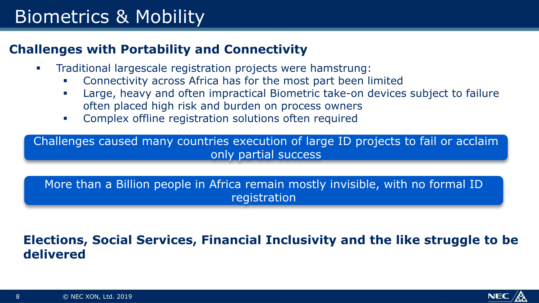## Biometrics & Mobility

#### **Challenges with Portability and Connectivity**

- § Traditional largescale registration projects were hamstrung:
	- § Connectivity across Africa has for the most part been limited
	- Large, heavy and often impractical Biometric take-on devices subject to failure often placed high risk and burden on process owners
	- Complex offline registration solutions often required

Challenges caused many countries execution of large ID projects to fail or acclaim only partial success

More than a Billion people in Africa remain mostly invisible, with no formal ID registration

#### **Elections, Social Services, Financial Inclusivity and the like struggle to be delivered**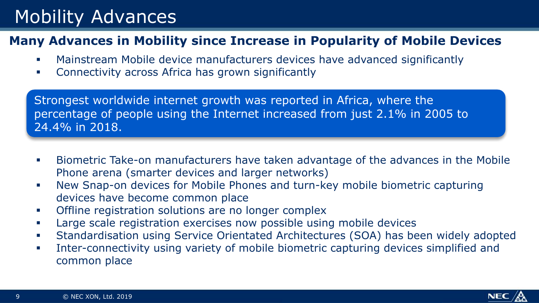## Mobility Advances

#### **Many Advances in Mobility since Increase in Popularity of Mobile Devices**

- § Mainstream Mobile device manufacturers devices have advanced significantly
- Connectivity across Africa has grown significantly

Strongest worldwide internet growth was reported in Africa, where the percentage of people using the Internet increased from just 2.1% in 2005 to 24.4% in 2018.

- § Biometric Take-on manufacturers have taken advantage of the advances in the Mobile Phone arena (smarter devices and larger networks)
- § New Snap-on devices for Mobile Phones and turn-key mobile biometric capturing devices have become common place
- Offline registration solutions are no longer complex
- Large scale registration exercises now possible using mobile devices
- § Standardisation using Service Orientated Architectures (SOA) has been widely adopted
- **Inter-connectivity using variety of mobile biometric capturing devices simplified and** common place

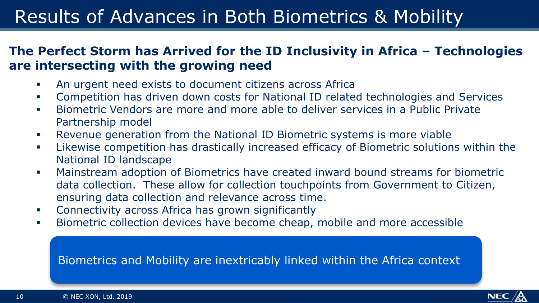## Results of Advances in Both Biometrics & Mobility

#### **The Perfect Storm has Arrived for the ID Inclusivity in Africa – Technologies are intersecting with the growing need**

- An urgent need exists to document citizens across Africa
- § Competition has driven down costs for National ID related technologies and Services
- § Biometric Vendors are more and more able to deliver services in a Public Private Partnership model
- § Revenue generation from the National ID Biometric systems is more viable
- **Likewise competition has drastically increased efficacy of Biometric solutions within the** National ID landscape
- § Mainstream adoption of Biometrics have created inward bound streams for biometric data collection. These allow for collection touchpoints from Government to Citizen, ensuring data collection and relevance across time.
- **•** Connectivity across Africa has grown significantly
- **Biometric collection devices have become cheap, mobile and more accessible**

#### Biometrics and Mobility are inextricably linked within the Africa context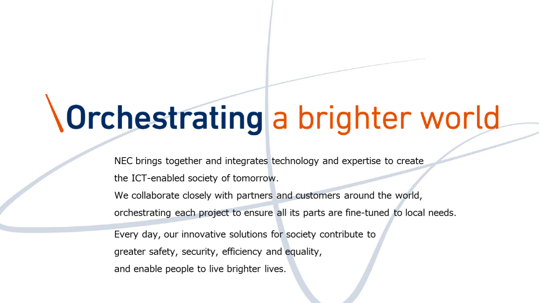# **\Orchestrating a brighter world**

NEC brings together and integrates technology and expertise to create the ICT-enabled society of tomorrow.

We collaborate closely with partners and customers around the world, orchestrating each project to ensure all its parts are fine-tuned to local needs.

Every day, our innovative solutions for society contribute to greater safety, security, efficiency and equality, and enable people to live brighter lives.